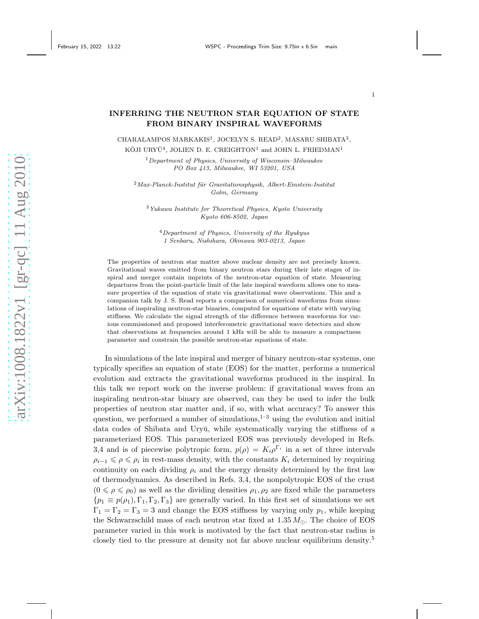## INFERRING THE NEUTRON STAR EQUATION OF STATE FROM BINARY INSPIRAL WAVEFORMS

CHARALAMPOS MARKAKIS<sup>1</sup>, JOCELYN S. READ<sup>2</sup>, MASARU SHIBATA<sup>3</sup>, KŌJI URYŪ $^4$ , JOLIEN D. E. CREIGHTON<sup>1</sup> and JOHN L. FRIEDMAN<sup>1</sup>

> $1$ Department of Physics, University of Wisconsin–Milwaukee PO Box 413, Milwaukee, WI 53201, USA

 $2$ Max-Planck-Institut für Gravitationsphysik, Albert-Einstein-Institut Golm, Germany

<sup>3</sup>Yukawa Institute for Theoretical Physics, Kyoto University Kyoto 606-8502, Japan

<sup>4</sup>Department of Physics, University of the Ryukyus 1 Senbaru, Nishihara, Okinawa 903-0213, Japan

The properties of neutron star matter above nuclear density are not precisely known. Gravitational waves emitted from binary neutron stars during their late stages of inspiral and merger contain imprints of the neutron-star equation of state. Measuring departures from the point-particle limit of the late inspiral waveform allows one to measure properties of the equation of state via gravitational wave observations. This and a companion talk by J. S. Read reports a comparison of numerical waveforms from simulations of inspiraling neutron-star binaries, computed for equations of state with varying stiffness. We calculate the signal strength of the difference between waveforms for various commissioned and proposed interferometric gravitational wave detectors and show that observations at frequencies around 1 kHz will be able to measure a compactness parameter and constrain the possible neutron-star equations of state.

In simulations of the late inspiral and merger of binary neutron-star systems, one typically specifies an equation of state (EOS) for the matter, performs a numerical evolution and extracts the gravitational waveforms produced in the inspiral. In this talk we report work on the inverse problem: if gravitational waves from an inspiraling neutron-star binary are observed, can they be used to infer the bulk properties of neutron star matter and, if so, with what accuracy? To answer this question, we performed a number of simulations, $1-3$  using the evolution and initial data codes of Shibata and Uryū, while systematically varying the stiffness of a parameterized EOS. This parameterized EOS was previously developed in Refs. 3,4 and is of piecewise polytropic form,  $p(\rho) = K_i \rho^{\Gamma_i}$  in a set of three intervals  $\rho_{i-1} \leq \rho \leq \rho_i$  in rest-mass density, with the constants  $K_i$  determined by requiring continuity on each dividing  $\rho_i$  and the energy density determined by the first law of thermodynamics. As described in Refs. 3,4, the nonpolytropic EOS of the crust  $(0 \le \rho \le \rho_0)$  as well as the dividing densities  $\rho_1, \rho_2$  are fixed while the parameters  ${p_1 \equiv p(\rho_1), \Gamma_1, \Gamma_2, \Gamma_3}$  are generally varied. In this first set of simulations we set  $\Gamma_1 = \Gamma_2 = \Gamma_3 = 3$  and change the EOS stiffness by varying only  $p_1$ , while keeping the Schwarzschild mass of each neutron star fixed at  $1.35 M_{\odot}$ . The choice of EOS parameter varied in this work is motivated by the fact that neutron-star radius is closely tied to the pressure at density not far above nuclear equilibrium density.<sup>5</sup>

1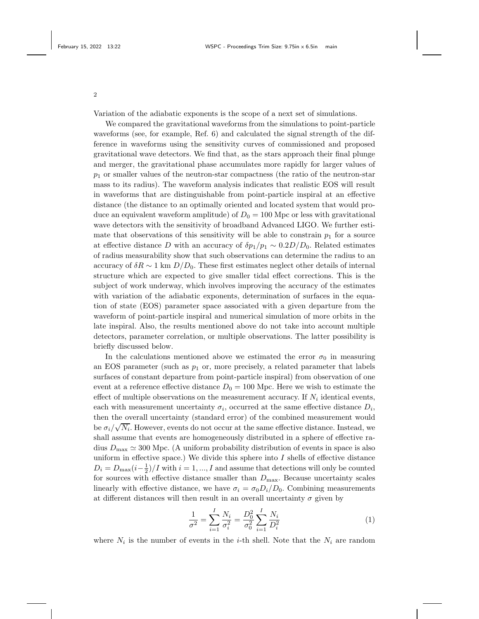2

Variation of the adiabatic exponents is the scope of a next set of simulations.

We compared the gravitational waveforms from the simulations to point-particle waveforms (see, for example, Ref. 6) and calculated the signal strength of the difference in waveforms using the sensitivity curves of commissioned and proposed gravitational wave detectors. We find that, as the stars approach their final plunge and merger, the gravitational phase accumulates more rapidly for larger values of  $p_1$  or smaller values of the neutron-star compactness (the ratio of the neutron-star mass to its radius). The waveform analysis indicates that realistic EOS will result in waveforms that are distinguishable from point-particle inspiral at an effective distance (the distance to an optimally oriented and located system that would produce an equivalent waveform amplitude) of  $D_0 = 100$  Mpc or less with gravitational wave detectors with the sensitivity of broadband Advanced LIGO. We further estimate that observations of this sensitivity will be able to constrain  $p_1$  for a source at effective distance D with an accuracy of  $\delta p_1/p_1 \sim 0.2D/D_0$ . Related estimates of radius measurability show that such observations can determine the radius to an accuracy of  $\delta R \sim 1$  km  $D/D_0$ . These first estimates neglect other details of internal structure which are expected to give smaller tidal effect corrections. This is the subject of work underway, which involves improving the accuracy of the estimates with variation of the adiabatic exponents, determination of surfaces in the equation of state (EOS) parameter space associated with a given departure from the waveform of point-particle inspiral and numerical simulation of more orbits in the late inspiral. Also, the results mentioned above do not take into account multiple detectors, parameter correlation, or multiple observations. The latter possibility is briefly discussed below.

In the calculations mentioned above we estimated the error  $\sigma_0$  in measuring an EOS parameter (such as  $p_1$  or, more precisely, a related parameter that labels surfaces of constant departure from point-particle inspiral) from observation of one event at a reference effective distance  $D_0 = 100$  Mpc. Here we wish to estimate the effect of multiple observations on the measurement accuracy. If  $N_i$  identical events, each with measurement uncertainty  $\sigma_i$ , occurred at the same effective distance  $D_i$ , then the overall uncertainty (standard error) of the combined measurement would be  $\sigma_i/\sqrt{N_i}$ . However, events do not occur at the same effective distance. Instead, we shall assume that events are homogeneously distributed in a sphere of effective radius  $D_{\text{max}} \simeq 300$  Mpc. (A uniform probability distribution of events in space is also uniform in effective space.) We divide this sphere into  $I$  shells of effective distance  $D_i = D_{\text{max}}(i - \frac{1}{2})/I$  with  $i = 1, ..., I$  and assume that detections will only be counted for sources with effective distance smaller than  $D_{\text{max}}$ . Because uncertainty scales linearly with effective distance, we have  $\sigma_i = \sigma_0 D_i/D_0$ . Combining measurements at different distances will then result in an overall uncertainty  $\sigma$  given by

<span id="page-1-0"></span>
$$
\frac{1}{\sigma^2} = \sum_{i=1}^{I} \frac{N_i}{\sigma_i^2} = \frac{D_0^2}{\sigma_0^2} \sum_{i=1}^{I} \frac{N_i}{D_i^2}
$$
(1)

where  $N_i$  is the number of events in the *i*-th shell. Note that the  $N_i$  are random